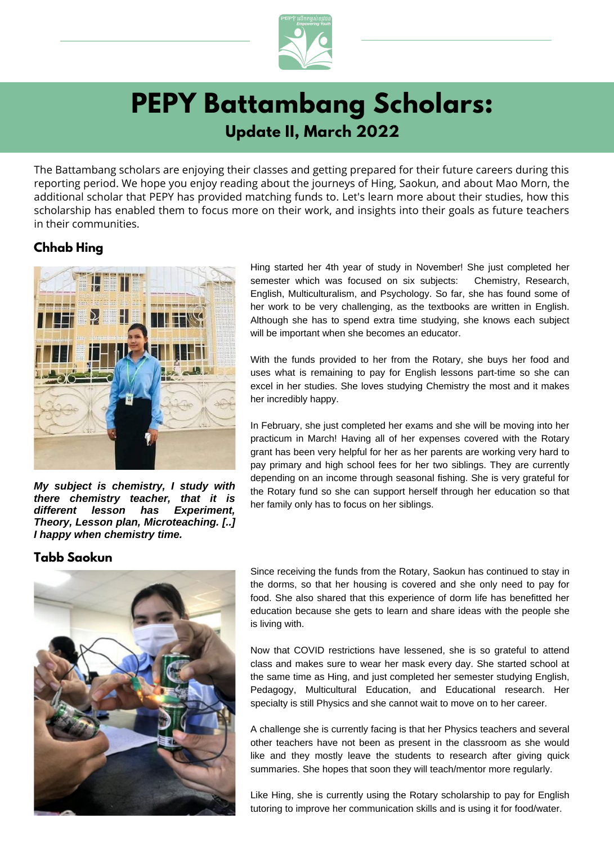

# **PEPY Battambang Scholars: Update II, March 2022**

The Battambang scholars are enjoying their classes and getting prepared for their future careers during this reporting period. We hope you enjoy reading about the journeys of Hing, Saokun, and about Mao Morn, the additional scholar that PEPY has provided matching funds to. Let's learn more about their studies, how this scholarship has enabled them to focus more on their work, and insights into their goals as future teachers in their communities.

### **Chhab Hing**



*My subject is chemistry, I study with there chemistry teacher, that it is different lesson has Experiment, Theory, Lesson plan, Microteaching. [..] I happy when chemistry time.*

### **Tabb Saokun**



Hing started her 4th year of study in November! She just completed her semester which was focused on six subjects: Chemistry, Research, English, Multiculturalism, and Psychology. So far, she has found some of her work to be very challenging, as the textbooks are written in English. Although she has to spend extra time studying, she knows each subject will be important when she becomes an educator.

With the funds provided to her from the Rotary, she buys her food and uses what is remaining to pay for English lessons part-time so she can excel in her studies. She loves studying Chemistry the most and it makes her incredibly happy.

In February, she just completed her exams and she will be moving into her practicum in March! Having all of her expenses covered with the Rotary grant has been very helpful for her as her parents are working very hard to pay primary and high school fees for her two siblings. They are currently depending on an income through seasonal fishing. She is very grateful for the Rotary fund so she can support herself through her education so that her family only has to focus on her siblings.

Since receiving the funds from the Rotary, Saokun has continued to stay in the dorms, so that her housing is covered and she only need to pay for food. She also shared that this experience of dorm life has benefitted her education because she gets to learn and share ideas with the people she is living with.

Now that COVID restrictions have lessened, she is so grateful to attend class and makes sure to wear her mask every day. She started school at the same time as Hing, and just completed her semester studying English, Pedagogy, Multicultural Education, and Educational research. Her specialty is still Physics and she cannot wait to move on to her career.

A challenge she is currently facing is that her Physics teachers and several other teachers have not been as present in the classroom as she would like and they mostly leave the students to research after giving quick summaries. She hopes that soon they will teach/mentor more regularly.

Like Hing, she is currently using the Rotary scholarship to pay for English tutoring to improve her communication skills and is using it for food/water.